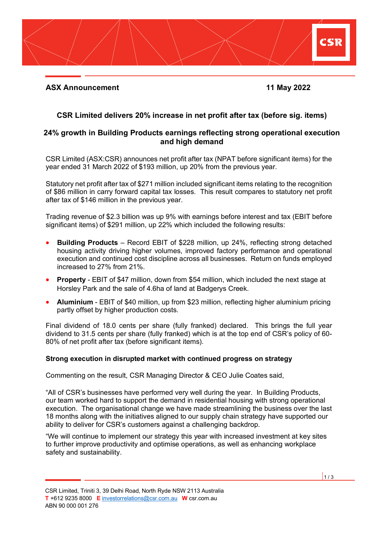

# **CSR Limited delivers 20% increase in net profit after tax (before sig. items)**

## **24% growth in Building Products earnings reflecting strong operational execution and high demand**

CSR Limited (ASX:CSR) announces net profit after tax (NPAT before significant items) for the year ended 31 March 2022 of \$193 million, up 20% from the previous year.

Statutory net profit after tax of \$271 million included significant items relating to the recognition of \$86 million in carry forward capital tax losses. This result compares to statutory net profit after tax of \$146 million in the previous year.

Trading revenue of \$2.3 billion was up 9% with earnings before interest and tax (EBIT before significant items) of \$291 million, up 22% which included the following results:

- **Building Products** Record EBIT of \$228 million, up 24%, reflecting strong detached housing activity driving higher volumes, improved factory performance and operational execution and continued cost discipline across all businesses. Return on funds employed increased to 27% from 21%.
- **Property** EBIT of \$47 million, down from \$54 million, which included the next stage at Horsley Park and the sale of 4.6ha of land at Badgerys Creek.
- **Aluminium** EBIT of \$40 million, up from \$23 million, reflecting higher aluminium pricing partly offset by higher production costs.

Final dividend of 18.0 cents per share (fully franked) declared. This brings the full year dividend to 31.5 cents per share (fully franked) which is at the top end of CSR's policy of 60- 80% of net profit after tax (before significant items).

## **Strong execution in disrupted market with continued progress on strategy**

Commenting on the result, CSR Managing Director & CEO Julie Coates said,

"All of CSR's businesses have performed very well during the year. In Building Products, our team worked hard to support the demand in residential housing with strong operational execution. The organisational change we have made streamlining the business over the last 18 months along with the initiatives aligned to our supply chain strategy have supported our ability to deliver for CSR's customers against a challenging backdrop.

"We will continue to implement our strategy this year with increased investment at key sites to further improve productivity and optimise operations, as well as enhancing workplace safety and sustainability.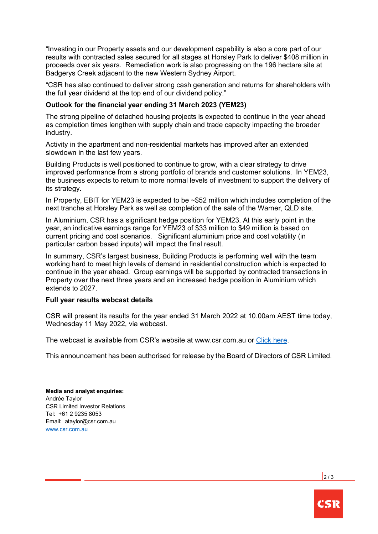"Investing in our Property assets and our development capability is also a core part of our results with contracted sales secured for all stages at Horsley Park to deliver \$408 million in proceeds over six years. Remediation work is also progressing on the 196 hectare site at Badgerys Creek adjacent to the new Western Sydney Airport.

"CSR has also continued to deliver strong cash generation and returns for shareholders with the full year dividend at the top end of our dividend policy."

### **Outlook for the financial year ending 31 March 2023 (YEM23)**

The strong pipeline of detached housing projects is expected to continue in the year ahead as completion times lengthen with supply chain and trade capacity impacting the broader industry.

Activity in the apartment and non-residential markets has improved after an extended slowdown in the last few years.

Building Products is well positioned to continue to grow, with a clear strategy to drive improved performance from a strong portfolio of brands and customer solutions. In YEM23, the business expects to return to more normal levels of investment to support the delivery of its strategy.

In Property, EBIT for YEM23 is expected to be ~\$52 million which includes completion of the next tranche at Horsley Park as well as completion of the sale of the Warner, QLD site.

In Aluminium, CSR has a significant hedge position for YEM23. At this early point in the year, an indicative earnings range for YEM23 of \$33 million to \$49 million is based on current pricing and cost scenarios. Significant aluminium price and cost volatility (in particular carbon based inputs) will impact the final result.

In summary, CSR's largest business, Building Products is performing well with the team working hard to meet high levels of demand in residential construction which is expected to continue in the year ahead. Group earnings will be supported by contracted transactions in Property over the next three years and an increased hedge position in Aluminium which extends to 2027.

#### **Full year results webcast details**

CSR will present its results for the year ended 31 March 2022 at 10.00am AEST time today, Wednesday 11 May 2022, via webcast.

The webcast is available from CSR's website at www.csr.com.au or [Click here.](https://edge.media-server.com/mmc/p/cu8k8ow7)

This announcement has been authorised for release by the Board of Directors of CSR Limited.

**Media and analyst enquiries:** Andrée Taylor CSR Limited Investor Relations Tel: +61 2 9235 8053 Email: ataylor@csr.com.au [www.csr.com.au](http://www.csr.com.au/)

 $\frac{1}{2}$  / 3